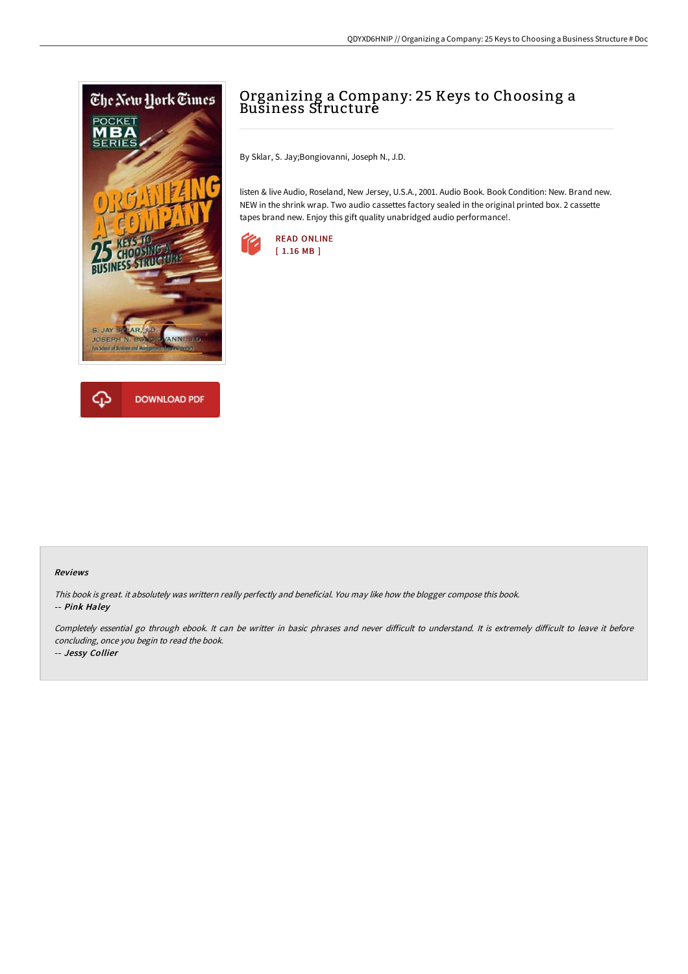



## Organizing a Company: 25 Keys to Choosing a Business Structure

By Sklar, S. Jay;Bongiovanni, Joseph N., J.D.

listen & live Audio, Roseland, New Jersey, U.S.A., 2001. Audio Book. Book Condition: New. Brand new. NEW in the shrink wrap. Two audio cassettes factory sealed in the original printed box. 2 cassette tapes brand new. Enjoy this gift quality unabridged audio performance!.



## Reviews

This book is great. it absolutely was writtern really perfectly and beneficial. You may like how the blogger compose this book. -- Pink Haley

Completely essential go through ebook. It can be writter in basic phrases and never difficult to understand. It is extremely difficult to leave it before concluding, once you begin to read the book. -- Jessy Collier